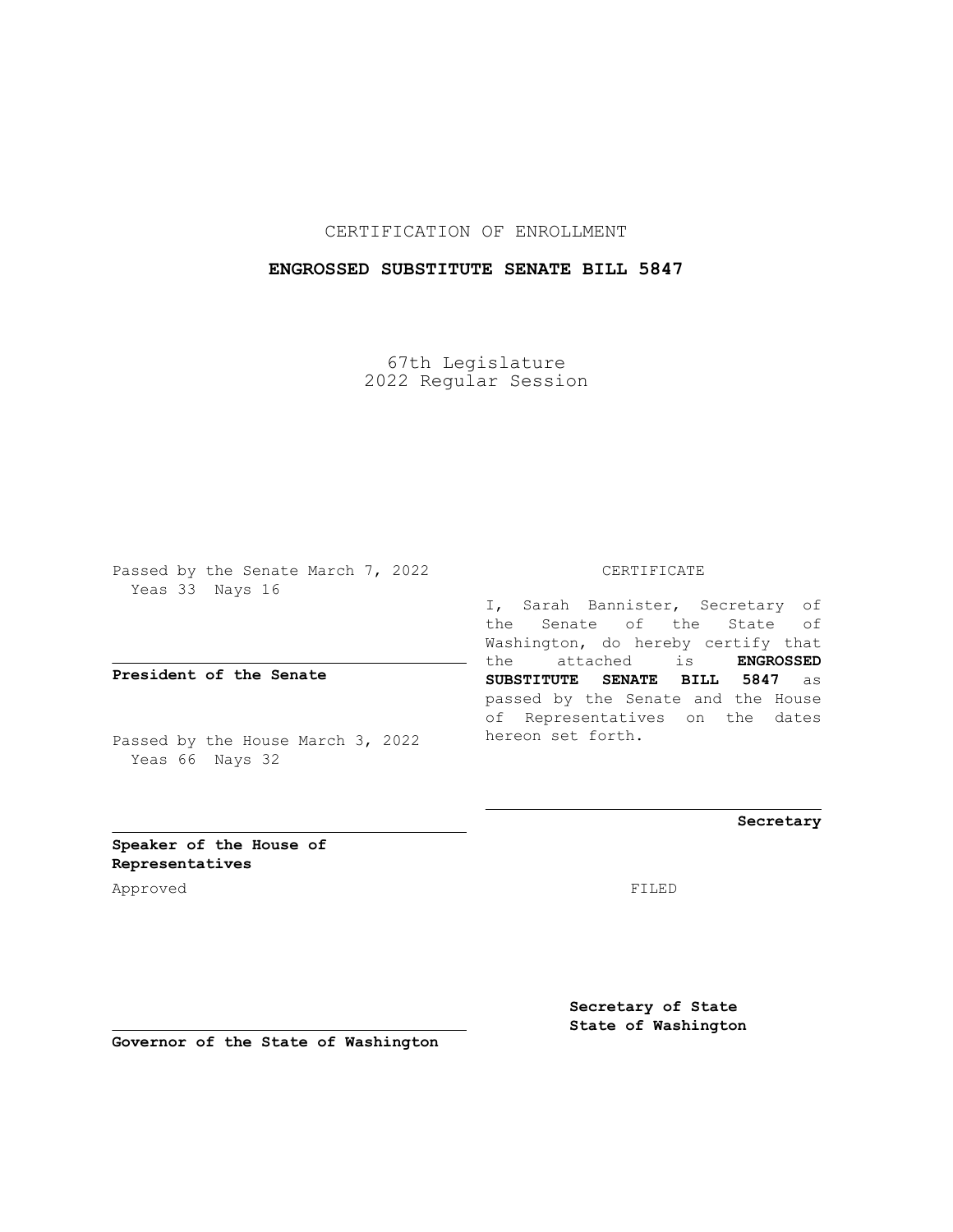## CERTIFICATION OF ENROLLMENT

## **ENGROSSED SUBSTITUTE SENATE BILL 5847**

67th Legislature 2022 Regular Session

Passed by the Senate March 7, 2022 Yeas 33 Nays 16

**President of the Senate**

Passed by the House March 3, 2022 Yeas 66 Nays 32

CERTIFICATE

I, Sarah Bannister, Secretary of the Senate of the State of Washington, do hereby certify that the attached is **ENGROSSED SUBSTITUTE SENATE BILL 5847** as passed by the Senate and the House of Representatives on the dates hereon set forth.

**Secretary**

**Speaker of the House of Representatives**

Approved FILED

**Secretary of State State of Washington**

**Governor of the State of Washington**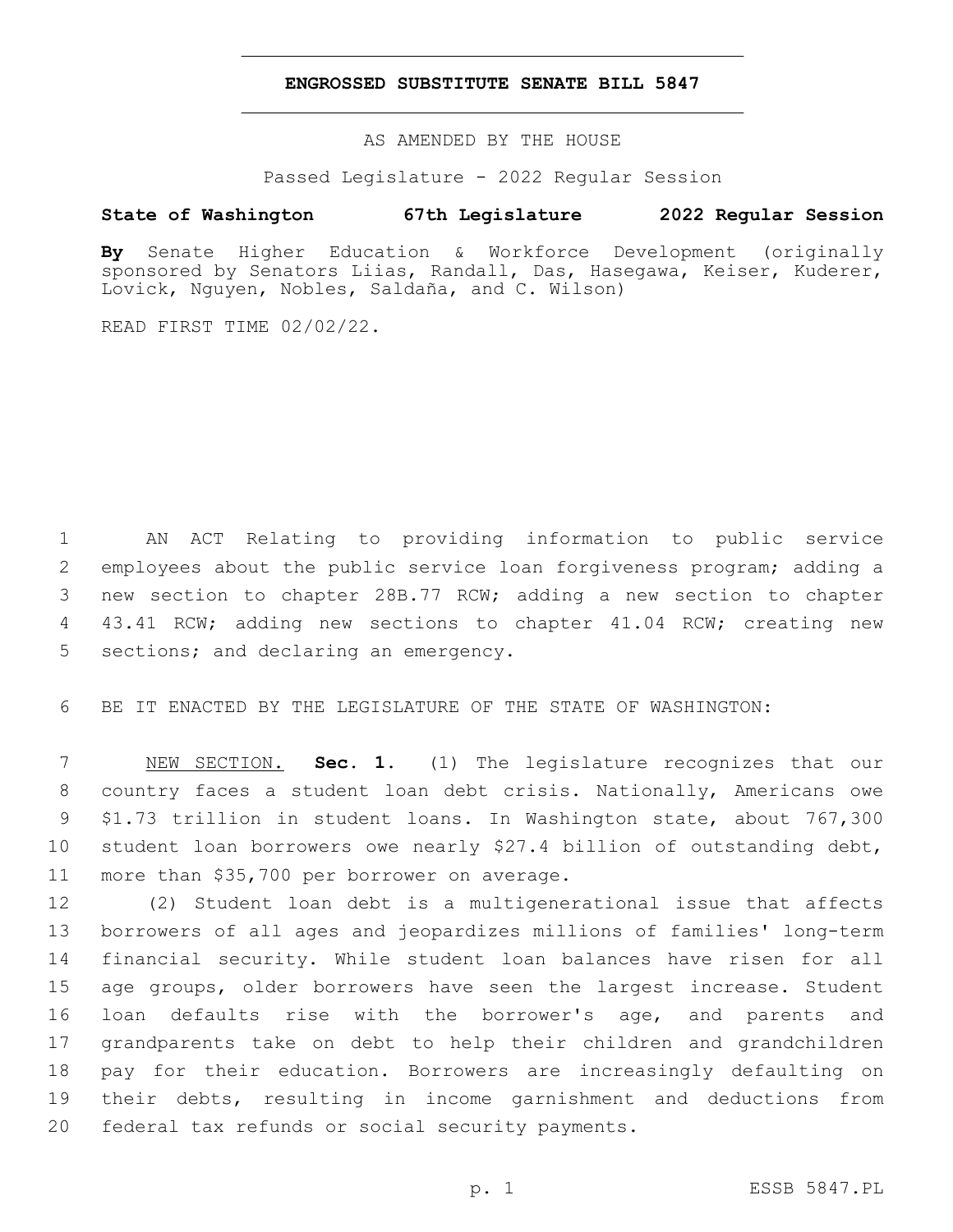## **ENGROSSED SUBSTITUTE SENATE BILL 5847**

AS AMENDED BY THE HOUSE

Passed Legislature - 2022 Regular Session

## **State of Washington 67th Legislature 2022 Regular Session**

**By** Senate Higher Education & Workforce Development (originally sponsored by Senators Liias, Randall, Das, Hasegawa, Keiser, Kuderer, Lovick, Nguyen, Nobles, Saldaña, and C. Wilson)

READ FIRST TIME 02/02/22.

 AN ACT Relating to providing information to public service employees about the public service loan forgiveness program; adding a new section to chapter 28B.77 RCW; adding a new section to chapter 43.41 RCW; adding new sections to chapter 41.04 RCW; creating new 5 sections; and declaring an emergency.

BE IT ENACTED BY THE LEGISLATURE OF THE STATE OF WASHINGTON:

 NEW SECTION. **Sec. 1.** (1) The legislature recognizes that our country faces a student loan debt crisis. Nationally, Americans owe \$1.73 trillion in student loans. In Washington state, about 767,300 student loan borrowers owe nearly \$27.4 billion of outstanding debt, more than \$35,700 per borrower on average.

 (2) Student loan debt is a multigenerational issue that affects borrowers of all ages and jeopardizes millions of families' long-term financial security. While student loan balances have risen for all age groups, older borrowers have seen the largest increase. Student loan defaults rise with the borrower's age, and parents and grandparents take on debt to help their children and grandchildren pay for their education. Borrowers are increasingly defaulting on their debts, resulting in income garnishment and deductions from 20 federal tax refunds or social security payments.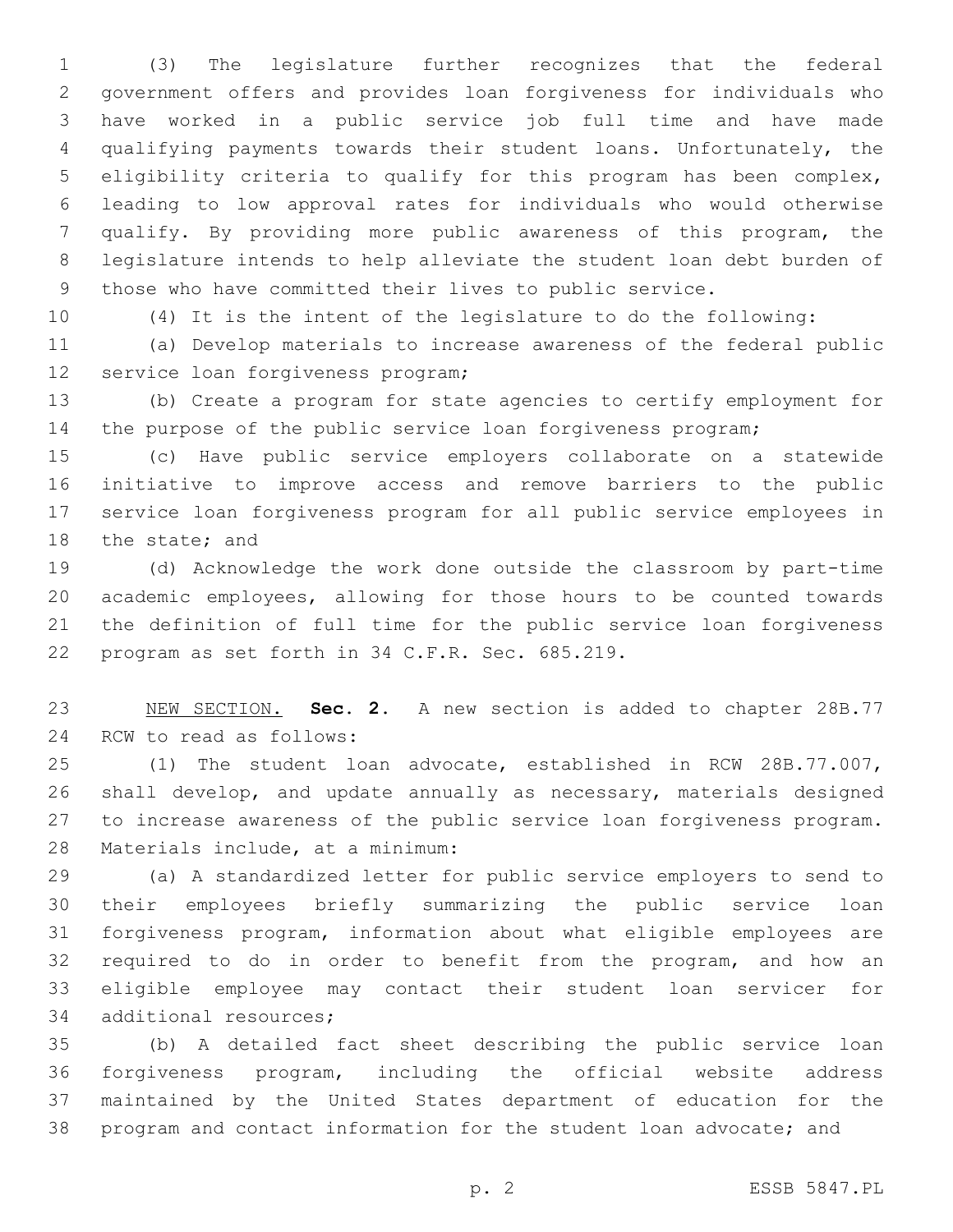(3) The legislature further recognizes that the federal government offers and provides loan forgiveness for individuals who have worked in a public service job full time and have made qualifying payments towards their student loans. Unfortunately, the eligibility criteria to qualify for this program has been complex, leading to low approval rates for individuals who would otherwise qualify. By providing more public awareness of this program, the legislature intends to help alleviate the student loan debt burden of those who have committed their lives to public service.

(4) It is the intent of the legislature to do the following:

 (a) Develop materials to increase awareness of the federal public 12 service loan forgiveness program;

 (b) Create a program for state agencies to certify employment for the purpose of the public service loan forgiveness program;

 (c) Have public service employers collaborate on a statewide initiative to improve access and remove barriers to the public service loan forgiveness program for all public service employees in 18 the state; and

 (d) Acknowledge the work done outside the classroom by part-time academic employees, allowing for those hours to be counted towards the definition of full time for the public service loan forgiveness 22 program as set forth in 34 C.F.R. Sec. 685.219.

 NEW SECTION. **Sec. 2.** A new section is added to chapter 28B.77 24 RCW to read as follows:

 (1) The student loan advocate, established in RCW 28B.77.007, shall develop, and update annually as necessary, materials designed to increase awareness of the public service loan forgiveness program. 28 Materials include, at a minimum:

 (a) A standardized letter for public service employers to send to their employees briefly summarizing the public service loan forgiveness program, information about what eligible employees are required to do in order to benefit from the program, and how an eligible employee may contact their student loan servicer for 34 additional resources;

 (b) A detailed fact sheet describing the public service loan forgiveness program, including the official website address maintained by the United States department of education for the program and contact information for the student loan advocate; and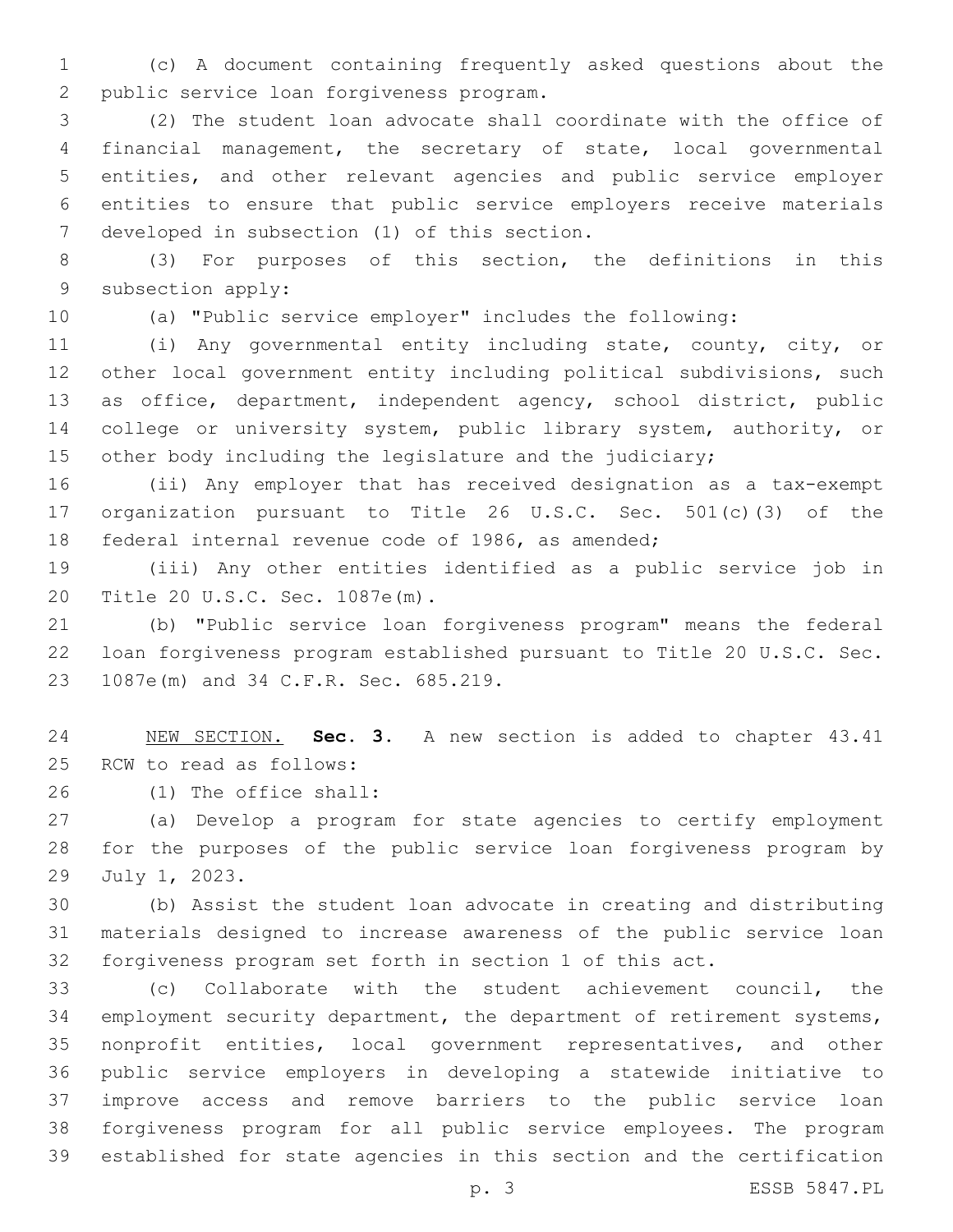(c) A document containing frequently asked questions about the 2 public service loan forgiveness program.

 (2) The student loan advocate shall coordinate with the office of financial management, the secretary of state, local governmental entities, and other relevant agencies and public service employer entities to ensure that public service employers receive materials 7 developed in subsection (1) of this section.

 (3) For purposes of this section, the definitions in this 9 subsection apply:

(a) "Public service employer" includes the following:

 (i) Any governmental entity including state, county, city, or other local government entity including political subdivisions, such as office, department, independent agency, school district, public 14 college or university system, public library system, authority, or 15 other body including the legislature and the judiciary;

 (ii) Any employer that has received designation as a tax-exempt organization pursuant to Title 26 U.S.C. Sec. 501(c)(3) of the federal internal revenue code of 1986, as amended;

 (iii) Any other entities identified as a public service job in 20 Title 20 U.S.C. Sec. 1087e(m).

 (b) "Public service loan forgiveness program" means the federal loan forgiveness program established pursuant to Title 20 U.S.C. Sec. 23 1087e(m) and 34 C.F.R. Sec. 685.219.

 NEW SECTION. **Sec. 3.** A new section is added to chapter 43.41 25 RCW to read as follows:

(1) The office shall:26

 (a) Develop a program for state agencies to certify employment for the purposes of the public service loan forgiveness program by 29 July 1, 2023.

 (b) Assist the student loan advocate in creating and distributing materials designed to increase awareness of the public service loan forgiveness program set forth in section 1 of this act.

 (c) Collaborate with the student achievement council, the employment security department, the department of retirement systems, nonprofit entities, local government representatives, and other public service employers in developing a statewide initiative to improve access and remove barriers to the public service loan forgiveness program for all public service employees. The program established for state agencies in this section and the certification

p. 3 ESSB 5847.PL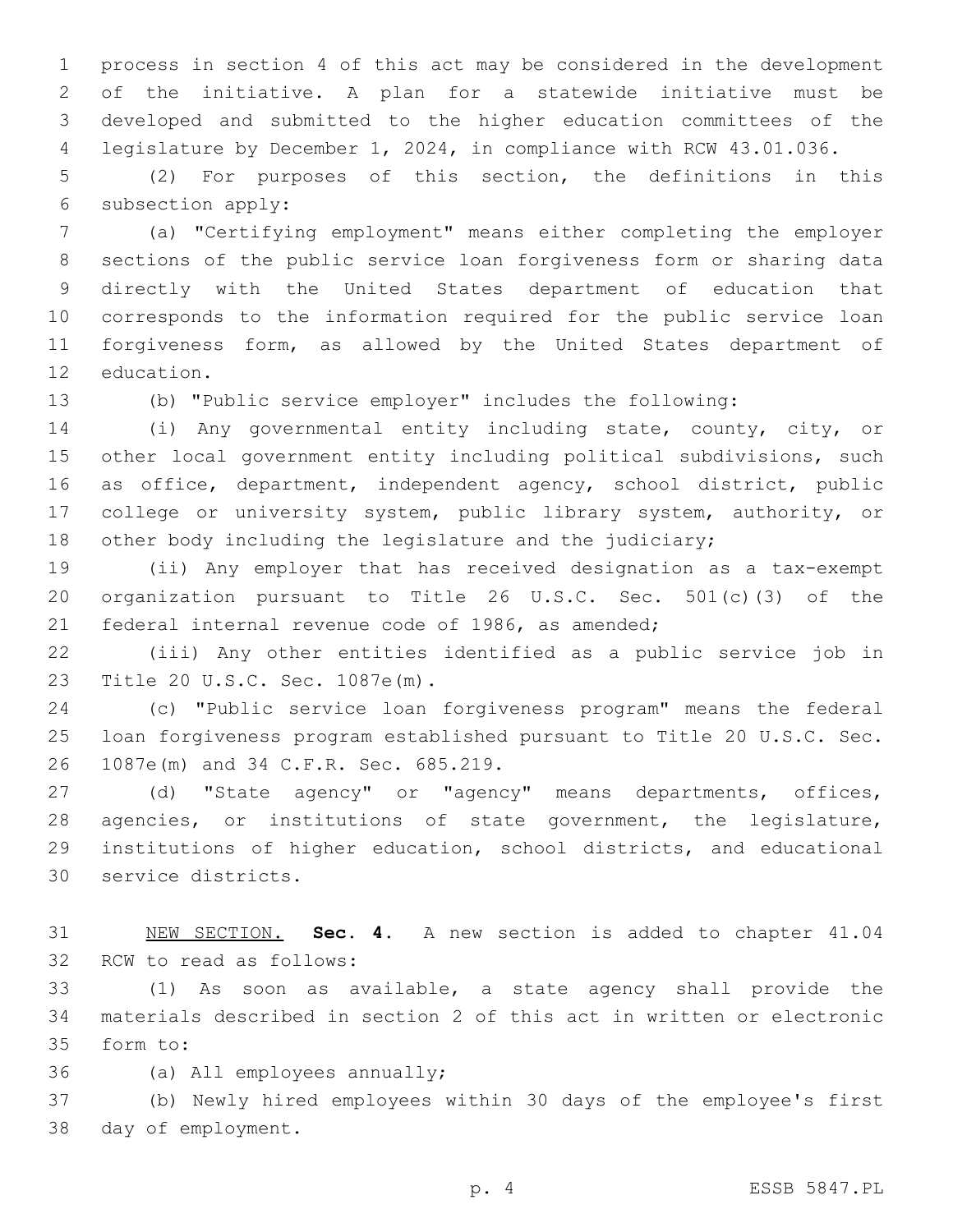process in section 4 of this act may be considered in the development of the initiative. A plan for a statewide initiative must be developed and submitted to the higher education committees of the legislature by December 1, 2024, in compliance with RCW 43.01.036.

 (2) For purposes of this section, the definitions in this 6 subsection apply:

 (a) "Certifying employment" means either completing the employer sections of the public service loan forgiveness form or sharing data directly with the United States department of education that corresponds to the information required for the public service loan forgiveness form, as allowed by the United States department of 12 education.

(b) "Public service employer" includes the following:

 (i) Any governmental entity including state, county, city, or other local government entity including political subdivisions, such as office, department, independent agency, school district, public college or university system, public library system, authority, or other body including the legislature and the judiciary;

 (ii) Any employer that has received designation as a tax-exempt organization pursuant to Title 26 U.S.C. Sec. 501(c)(3) of the federal internal revenue code of 1986, as amended;

 (iii) Any other entities identified as a public service job in 23 Title 20 U.S.C. Sec. 1087e(m).

 (c) "Public service loan forgiveness program" means the federal loan forgiveness program established pursuant to Title 20 U.S.C. Sec. 26 1087e(m) and 34 C.F.R. Sec. 685.219.

 (d) "State agency" or "agency" means departments, offices, agencies, or institutions of state government, the legislature, institutions of higher education, school districts, and educational 30 service districts.

 NEW SECTION. **Sec. 4.** A new section is added to chapter 41.04 32 RCW to read as follows:

 (1) As soon as available, a state agency shall provide the materials described in section 2 of this act in written or electronic 35 form to:

36 (a) All employees annually;

 (b) Newly hired employees within 30 days of the employee's first 38 day of employment.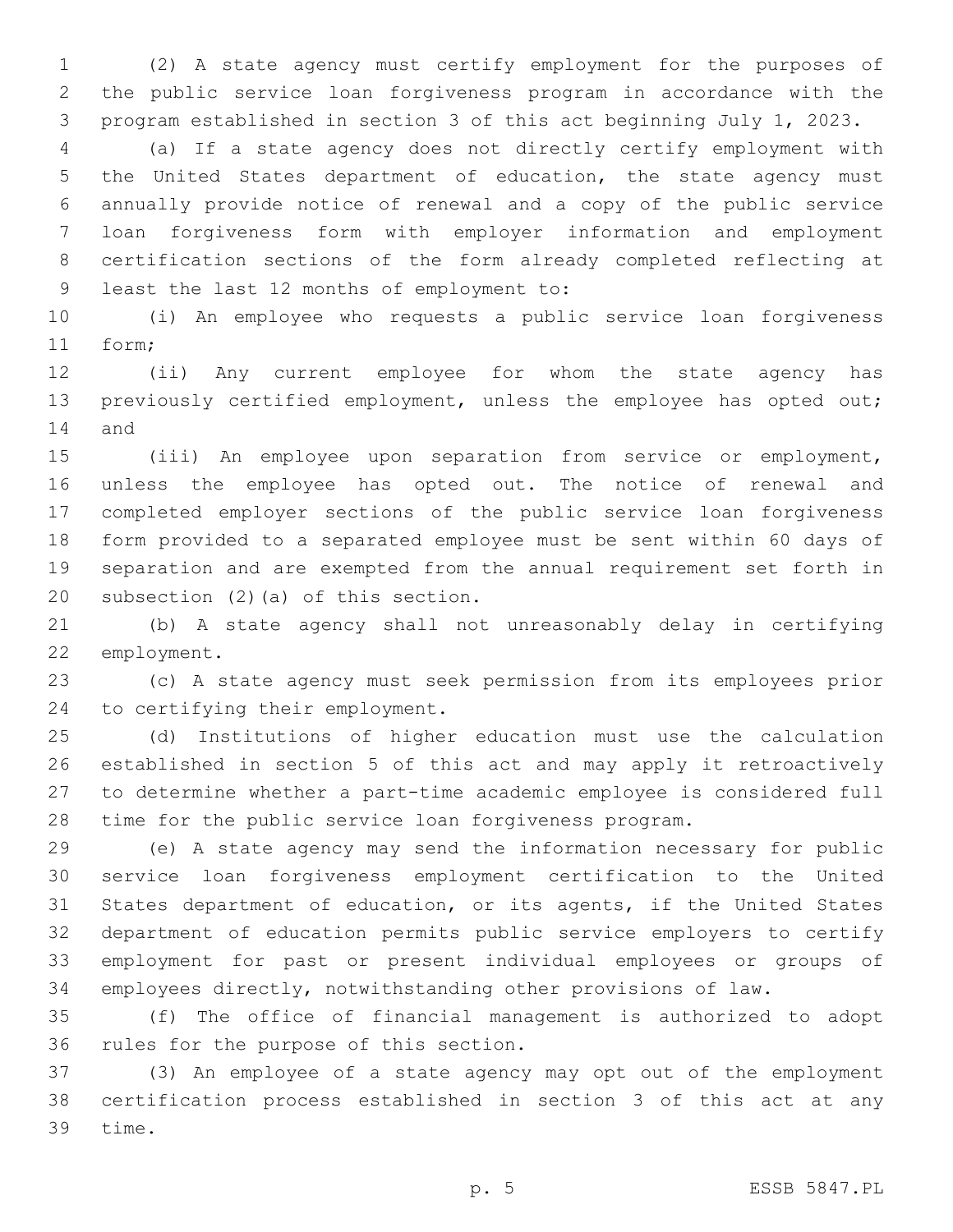(2) A state agency must certify employment for the purposes of the public service loan forgiveness program in accordance with the program established in section 3 of this act beginning July 1, 2023.

 (a) If a state agency does not directly certify employment with the United States department of education, the state agency must annually provide notice of renewal and a copy of the public service loan forgiveness form with employer information and employment certification sections of the form already completed reflecting at 9 least the last 12 months of employment to:

 (i) An employee who requests a public service loan forgiveness 11 form;

 (ii) Any current employee for whom the state agency has previously certified employment, unless the employee has opted out; 14 and

 (iii) An employee upon separation from service or employment, unless the employee has opted out. The notice of renewal and completed employer sections of the public service loan forgiveness form provided to a separated employee must be sent within 60 days of separation and are exempted from the annual requirement set forth in 20 subsection  $(2)$  (a) of this section.

 (b) A state agency shall not unreasonably delay in certifying 22 employment.

 (c) A state agency must seek permission from its employees prior 24 to certifying their employment.

 (d) Institutions of higher education must use the calculation established in section 5 of this act and may apply it retroactively to determine whether a part-time academic employee is considered full time for the public service loan forgiveness program.

 (e) A state agency may send the information necessary for public service loan forgiveness employment certification to the United States department of education, or its agents, if the United States department of education permits public service employers to certify employment for past or present individual employees or groups of employees directly, notwithstanding other provisions of law.

 (f) The office of financial management is authorized to adopt 36 rules for the purpose of this section.

 (3) An employee of a state agency may opt out of the employment certification process established in section 3 of this act at any 39 time.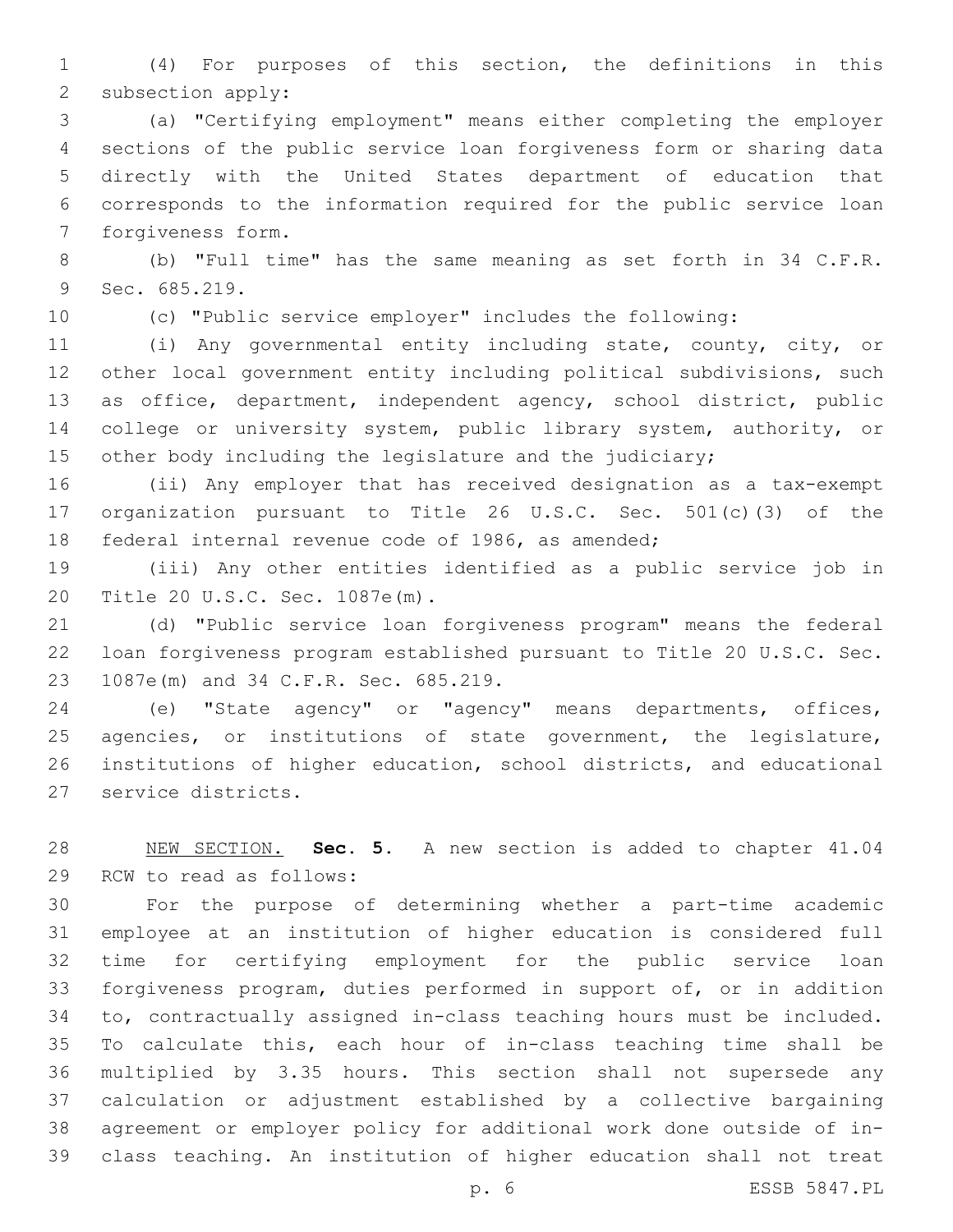(4) For purposes of this section, the definitions in this 2 subsection apply:

 (a) "Certifying employment" means either completing the employer sections of the public service loan forgiveness form or sharing data directly with the United States department of education that corresponds to the information required for the public service loan 7 forgiveness form.

 (b) "Full time" has the same meaning as set forth in 34 C.F.R. 9 Sec. 685.219.

(c) "Public service employer" includes the following:

 (i) Any governmental entity including state, county, city, or other local government entity including political subdivisions, such as office, department, independent agency, school district, public 14 college or university system, public library system, authority, or other body including the legislature and the judiciary;

 (ii) Any employer that has received designation as a tax-exempt organization pursuant to Title 26 U.S.C. Sec. 501(c)(3) of the federal internal revenue code of 1986, as amended;

 (iii) Any other entities identified as a public service job in 20 Title 20 U.S.C. Sec. 1087e(m).

 (d) "Public service loan forgiveness program" means the federal loan forgiveness program established pursuant to Title 20 U.S.C. Sec. 23 1087e(m) and 34 C.F.R. Sec. 685.219.

 (e) "State agency" or "agency" means departments, offices, agencies, or institutions of state government, the legislature, institutions of higher education, school districts, and educational 27 service districts.

 NEW SECTION. **Sec. 5.** A new section is added to chapter 41.04 29 RCW to read as follows:

 For the purpose of determining whether a part-time academic employee at an institution of higher education is considered full time for certifying employment for the public service loan forgiveness program, duties performed in support of, or in addition to, contractually assigned in-class teaching hours must be included. To calculate this, each hour of in-class teaching time shall be multiplied by 3.35 hours. This section shall not supersede any calculation or adjustment established by a collective bargaining agreement or employer policy for additional work done outside of in-class teaching. An institution of higher education shall not treat

p. 6 ESSB 5847.PL